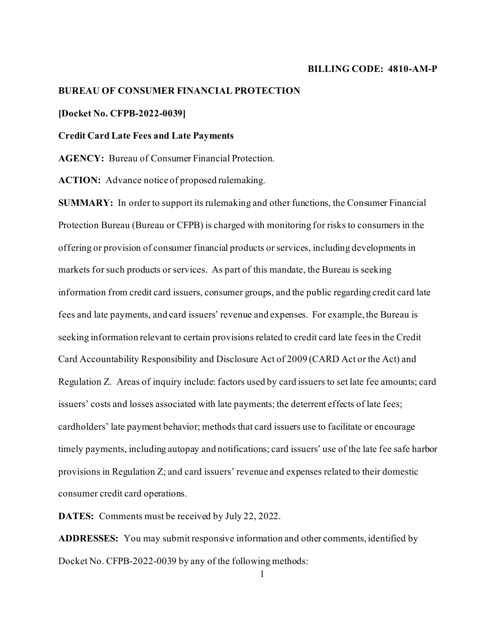#### **BILLING CODE: 4810-AM-P**

# **BUREAU OF CONSUMER FINANCIAL PROTECTION**

#### **[Docket No. CFPB-2022-0039]**

### **Credit Card Late Fees and Late Payments**

**AGENCY:** Bureau of Consumer Financial Protection.

**ACTION:** Advance notice of proposed rulemaking.

**SUMMARY:** In order to support its rulemaking and other functions, the Consumer Financial Protection Bureau (Bureau or CFPB) is charged with monitoring for risks to consumers in the offering or provision of consumer financial products or services, including developments in markets for such products or services. As part of this mandate, the Bureau is seeking information from credit card issuers, consumer groups, and the public regarding credit card late fees and late payments, and card issuers' revenue and expenses. For example, the Bureau is seeking information relevant to certain provisions related to credit card late feesin the Credit Card Accountability Responsibility and Disclosure Act of 2009 (CARD Act or the Act) and Regulation Z. Areas of inquiry include: factors used by card issuers to set late fee amounts; card issuers' costs and losses associated with late payments; the deterrent effects of late fees; cardholders' late payment behavior; methods that card issuers use to facilitate or encourage timely payments, including autopay and notifications; card issuers' use of the late fee safe harbor provisions in Regulation Z; and card issuers' revenue and expenses related to their domestic consumer credit card operations.

**DATES:** Comments must be received by July 22, 2022.

**ADDRESSES:** You may submit responsive information and other comments, identified by Docket No. CFPB-2022-0039 by any of the following methods:

1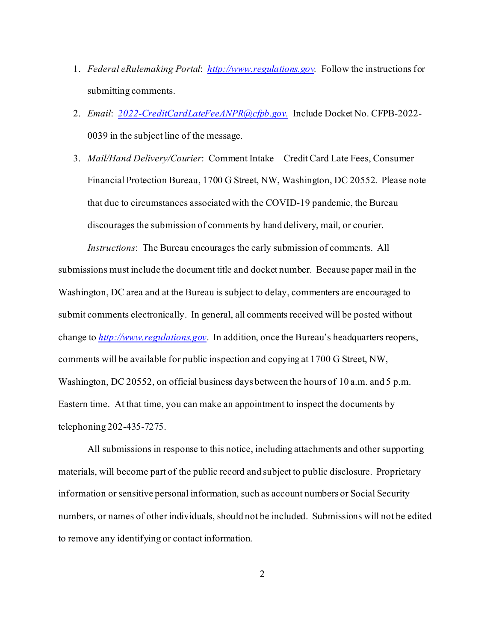- 1. *Federal eRulemaking Portal*: *[http://www.regulations.gov](http://www.regulations.gov/).* Follow the instructions for submitting comments.
- 2. *Email*: *[2022-CreditCardLateFeeANPR@cfpb.gov](mailto:2022-CreditCardLateFeeANPR@cfpb.gov)*. Include Docket No. CFPB-2022- 0039 in the subject line of the message.
- 3. *Mail/Hand Delivery/Courier*: Comment Intake—Credit Card Late Fees, Consumer Financial Protection Bureau, 1700 G Street, NW, Washington, DC 20552. Please note that due to circumstances associated with the COVID-19 pandemic, the Bureau discourages the submission of comments by hand delivery, mail, or courier.

*Instructions*: The Bureau encourages the early submission of comments. All submissions must include the document title and docket number. Because paper mail in the Washington, DC area and at the Bureau is subject to delay, commenters are encouraged to submit comments electronically. In general, all comments received will be posted without change to *[http://www.regulations.gov](http://www.regulations.gov/)*. In addition, once the Bureau's headquarters reopens, comments will be available for public inspection and copying at 1700 G Street, NW, Washington, DC 20552, on official business days between the hours of 10 a.m. and 5 p.m. Eastern time. At that time, you can make an appointment to inspect the documents by telephoning 202-435-7275.

All submissions in response to this notice, including attachments and other supporting materials, will become part of the public record and subject to public disclosure. Proprietary information or sensitive personal information, such as account numbers or Social Security numbers, or names of other individuals, should not be included. Submissions will not be edited to remove any identifying or contact information.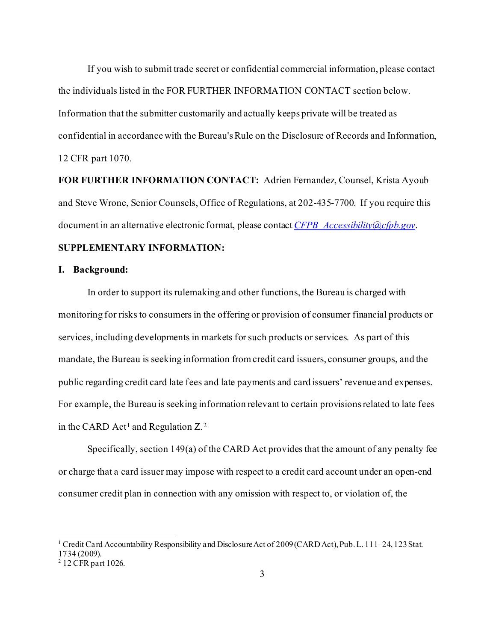If you wish to submit trade secret or confidential commercial information, please contact the individuals listed in the FOR FURTHER INFORMATION CONTACT section below. Information that the submitter customarily and actually keeps private will be treated as confidential in accordance with the Bureau's Rule on the Disclosure of Records and Information, 12 CFR part 1070.

**FOR FURTHER INFORMATION CONTACT:** Adrien Fernandez, Counsel, Krista Ayoub and Steve Wrone, Senior Counsels, Office of Regulations, at 202-435-7700. If you require this document in an alternative electronic format, please contact *[CFPB\\_Accessibility@cfpb.gov](mailto:CFPB_Accessibility@cfpb.gov)*.

# **SUPPLEMENTARY INFORMATION:**

#### **I. Background:**

In order to support its rulemaking and other functions, the Bureau is charged with monitoring for risks to consumers in the offering or provision of consumer financial products or services, including developments in markets for such products or services. As part of this mandate, the Bureau is seeking information from credit card issuers, consumer groups, and the public regarding credit card late fees and late payments and card issuers' revenue and expenses. For example, the Bureau is seeking information relevant to certain provisions related to late fees in the CARD Act<sup>[1](#page-2-0)</sup> and Regulation  $Z<sup>2</sup>$  $Z<sup>2</sup>$  $Z<sup>2</sup>$ .

Specifically, section 149(a) of the CARD Act provides that the amount of any penalty fee or charge that a card issuer may impose with respect to a credit card account under an open-end consumer credit plan in connection with any omission with respect to, or violation of, the

<span id="page-2-0"></span><sup>&</sup>lt;sup>1</sup> Credit Card Accountability Responsibility and Disclosure Act of 2009 (CARD Act), Pub. L. 111–24, 123 Stat. 1734 (2009).

<span id="page-2-1"></span><sup>2</sup> 12 CFR part 1026.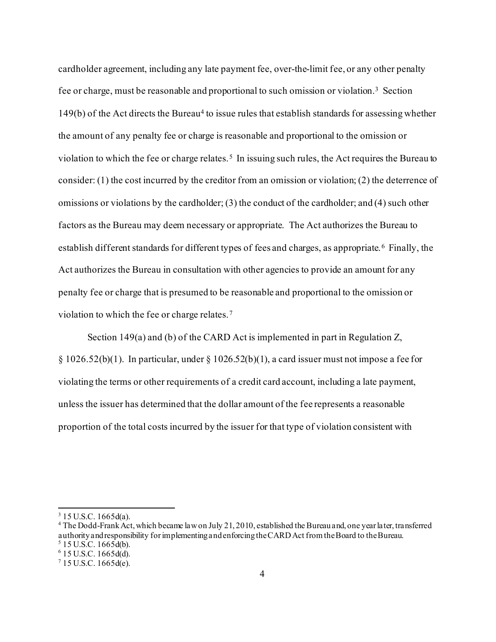cardholder agreement, including any late payment fee, over-the-limit fee, or any other penalty fee or charge, must be reasonable and proportional to such omission or violation.[3](#page-3-0) Section  $149(b)$  $149(b)$  $149(b)$  of the Act directs the Bureau<sup>4</sup> to issue rules that establish standards for assessing whether the amount of any penalty fee or charge is reasonable and proportional to the omission or violation to which the fee or charge relates.<sup>[5](#page-3-2)</sup> In issuing such rules, the Act requires the Bureau to consider: (1) the cost incurred by the creditor from an omission or violation; (2) the deterrence of omissions or violations by the cardholder; (3) the conduct of the cardholder; and (4) such other factors as the Bureau may deem necessary or appropriate. The Act authorizes the Bureau to establish different standards for different types of fees and charges, as appropriate. [6](#page-3-3) Finally, the Act authorizes the Bureau in consultation with other agencies to provide an amount for any penalty fee or charge that is presumed to be reasonable and proportional to the omission or violation to which the fee or charge relates.[7](#page-3-4)

Section 149(a) and (b) of the CARD Act is implemented in part in Regulation Z,  $\S 1026.52(b)(1)$ . In particular, under  $\S 1026.52(b)(1)$ , a card issuer must not impose a fee for violating the terms or other requirements of a credit card account, including a late payment, unless the issuer has determined that the dollar amount of the fee represents a reasonable proportion of the total costs incurred by the issuer for that type of violation consistent with

<span id="page-3-1"></span><span id="page-3-0"></span> $3$  15 U.S.C. 1665d(a).<br><sup>4</sup> The Dodd-Frank Act, which became law on July 21, 2010, established the Bureau and, one year later, transferred authority and responsibility for implementing and enforcing the CARD Act from the Board to the Bureau.<br>
<sup>5</sup> 15 U.S.C. 1665d(b).

<span id="page-3-3"></span><span id="page-3-2"></span> $6$  15 U.S.C. 1665d(d).

<span id="page-3-4"></span> $715$  U.S.C. 1665d(e).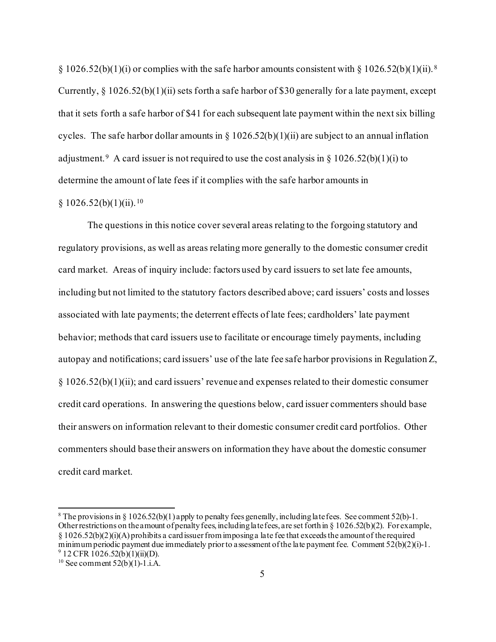$\S 1026.52(b)(1)(i)$  or complies with the safe harbor amounts consistent with  $\S 1026.52(b)(1)(ii).$ <sup>[8](#page-4-0)</sup> Currently,  $\S 1026.52(b)(1)(ii)$  sets forth a safe harbor of \$30 generally for a late payment, except that it sets forth a safe harbor of \$41 for each subsequent late payment within the next six billing cycles. The safe harbor dollar amounts in § 1026.52(b)(1)(ii) are subject to an annual inflation adjustment.<sup>[9](#page-4-1)</sup> A card issuer is not required to use the cost analysis in § 1026.52(b)(1)(i) to determine the amount of late fees if it complies with the safe harbor amounts in

# $§ 1026.52(b)(1)(ii).<sup>10</sup>$  $§ 1026.52(b)(1)(ii).<sup>10</sup>$  $§ 1026.52(b)(1)(ii).<sup>10</sup>$

The questions in this notice cover several areas relating to the forgoing statutory and regulatory provisions, as well as areas relating more generally to the domestic consumer credit card market. Areas of inquiry include: factors used by card issuers to set late fee amounts, including but not limited to the statutory factors described above; card issuers' costs and losses associated with late payments; the deterrent effects of late fees; cardholders' late payment behavior; methods that card issuers use to facilitate or encourage timely payments, including autopay and notifications; card issuers' use of the late fee safe harbor provisions in Regulation Z, § 1026.52(b)(1)(ii); and card issuers' revenue and expenses related to their domestic consumer credit card operations. In answering the questions below, card issuer commenters should base their answers on information relevant to their domestic consumer credit card portfolios. Other commenters should base their answers on information they have about the domestic consumer credit card market.

<span id="page-4-0"></span><sup>&</sup>lt;sup>8</sup> The provisions in § 1026.52(b)(1) apply to penalty fees generally, including late fees. See comment 52(b)-1. Other restrictions on the amount of penalty fees, including late fees, are set forth in § 1026.52(b)(2). For example, § 1026.52(b)(2)(i)(A) prohibits a card issuer from imposing a late fee that exceeds the amount of the required minimum periodic payment due immediately prior to assessment of the late payment fee. Comment  $52(b)(2)(i)-1$ .<br><sup>9</sup> 12 CFR 1026.52(b)(1)(ii)(D).

<span id="page-4-2"></span><span id="page-4-1"></span> $10$  See comment 52(b)(1)-1.i.A.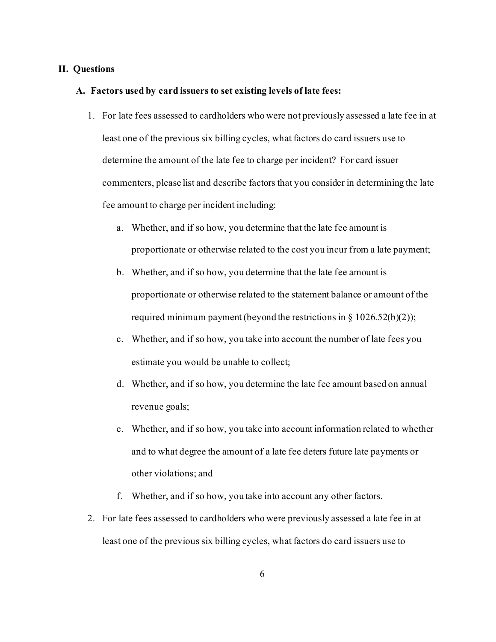### **II. Questions**

### **A. Factors used by card issuers to set existing levels of late fees:**

- 1. For late fees assessed to cardholders who were not previously assessed a late fee in at least one of the previous six billing cycles, what factors do card issuers use to determine the amount of the late fee to charge per incident? For card issuer commenters, please list and describe factors that you consider in determining the late fee amount to charge per incident including:
	- a. Whether, and if so how, you determine that the late fee amount is proportionate or otherwise related to the cost you incur from a late payment;
	- b. Whether, and if so how, you determine that the late fee amount is proportionate or otherwise related to the statement balance or amount of the required minimum payment (beyond the restrictions in  $\S$  1026.52(b)(2));
	- c. Whether, and if so how, you take into account the number of late fees you estimate you would be unable to collect;
	- d. Whether, and if so how, you determine the late fee amount based on annual revenue goals;
	- e. Whether, and if so how, you take into account information related to whether and to what degree the amount of a late fee deters future late payments or other violations; and
	- f. Whether, and if so how, you take into account any other factors.
- 2. For late fees assessed to cardholders who were previously assessed a late fee in at least one of the previous six billing cycles, what factors do card issuers use to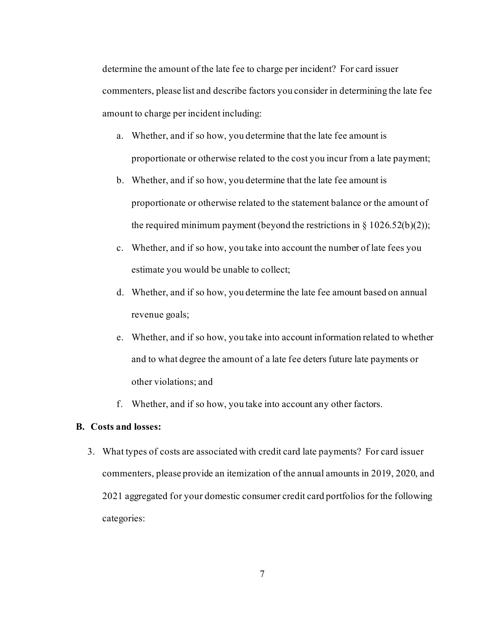determine the amount of the late fee to charge per incident? For card issuer commenters, please list and describe factors you consider in determining the late fee amount to charge per incident including:

- a. Whether, and if so how, you determine that the late fee amount is proportionate or otherwise related to the cost you incur from a late payment;
- b. Whether, and if so how, you determine that the late fee amount is proportionate or otherwise related to the statement balance or the amount of the required minimum payment (beyond the restrictions in  $\S 1026.52(b)(2)$ );
- c. Whether, and if so how, you take into account the number of late fees you estimate you would be unable to collect;
- d. Whether, and if so how, you determine the late fee amount based on annual revenue goals;
- e. Whether, and if so how, you take into account information related to whether and to what degree the amount of a late fee deters future late payments or other violations; and
- f. Whether, and if so how, you take into account any other factors.

# **B. Costs and losses:**

3. What types of costs are associated with credit card late payments? For card issuer commenters, please provide an itemization of the annual amounts in 2019, 2020, and 2021 aggregated for your domestic consumer credit card portfolios for the following categories: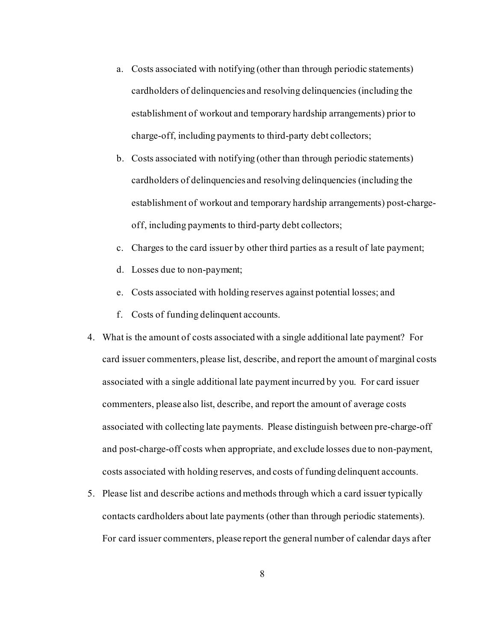- a. Costs associated with notifying (other than through periodic statements) cardholders of delinquencies and resolving delinquencies (including the establishment of workout and temporary hardship arrangements) prior to charge-off, including payments to third-party debt collectors;
- b. Costs associated with notifying (other than through periodic statements) cardholders of delinquencies and resolving delinquencies (including the establishment of workout and temporary hardship arrangements) post-chargeoff, including payments to third-party debt collectors;
- c. Charges to the card issuer by other third parties as a result of late payment;
- d. Losses due to non-payment;
- e. Costs associated with holding reserves against potential losses; and
- f. Costs of funding delinquent accounts.
- 4. What is the amount of costs associated with a single additional late payment? For card issuer commenters, please list, describe, and report the amount of marginal costs associated with a single additional late payment incurred by you. For card issuer commenters, please also list, describe, and report the amount of average costs associated with collecting late payments. Please distinguish between pre-charge-off and post-charge-off costs when appropriate, and exclude losses due to non-payment, costs associated with holding reserves, and costs of funding delinquent accounts.
- 5. Please list and describe actions and methods through which a card issuer typically contacts cardholders about late payments (other than through periodic statements). For card issuer commenters, please report the general number of calendar days after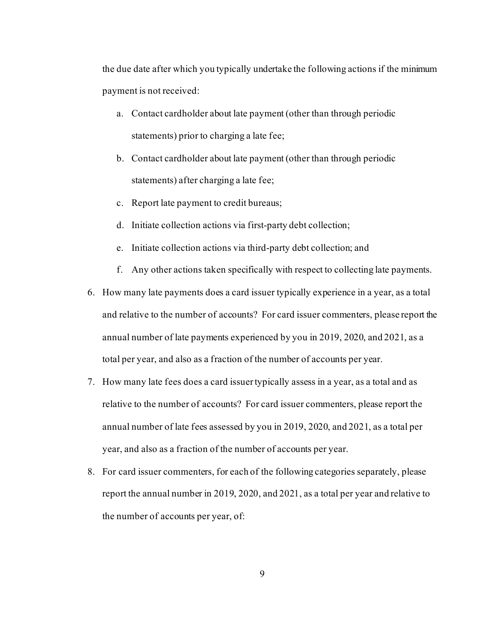the due date after which you typically undertake the following actions if the minimum payment is not received:

- a. Contact cardholder about late payment (other than through periodic statements) prior to charging a late fee;
- b. Contact cardholder about late payment (other than through periodic statements) after charging a late fee;
- c. Report late payment to credit bureaus;
- d. Initiate collection actions via first-party debt collection;
- e. Initiate collection actions via third-party debt collection; and
- f. Any other actions taken specifically with respect to collecting late payments.
- 6. How many late payments does a card issuer typically experience in a year, as a total and relative to the number of accounts? For card issuer commenters, please report the annual number of late payments experienced by you in 2019, 2020, and 2021, as a total per year, and also as a fraction of the number of accounts per year.
- 7. How many late fees does a card issuer typically assess in a year, as a total and as relative to the number of accounts? For card issuer commenters, please report the annual number of late fees assessed by you in 2019, 2020, and 2021, as a total per year, and also as a fraction of the number of accounts per year.
- 8. For card issuer commenters, for each of the following categories separately, please report the annual number in 2019, 2020, and 2021, as a total per year and relative to the number of accounts per year, of: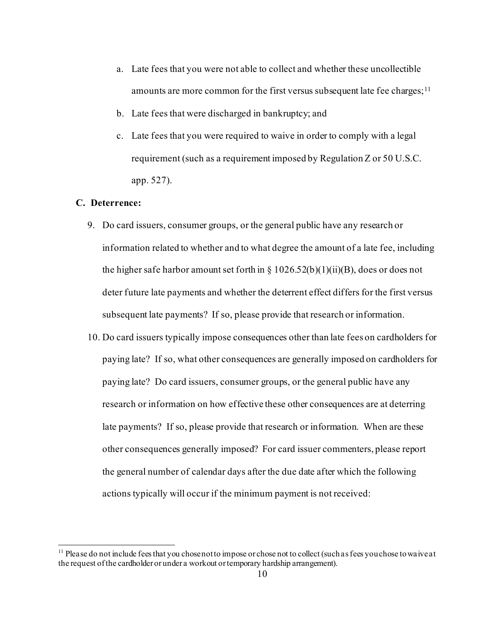- a. Late fees that you were not able to collect and whether these uncollectible amounts are more common for the first versus subsequent late fee charges;<sup>[11](#page-9-0)</sup>
- b. Late fees that were discharged in bankruptcy; and
- c. Late fees that you were required to waive in order to comply with a legal requirement (such as a requirement imposed by Regulation Z or 50 U.S.C. app. 527).

# **C. Deterrence:**

- 9. Do card issuers, consumer groups, or the general public have any research or information related to whether and to what degree the amount of a late fee, including the higher safe harbor amount set forth in  $\S 1026.52(b)(1)(ii)(B)$ , does or does not deter future late payments and whether the deterrent effect differs for the first versus subsequent late payments? If so, please provide that research or information.
- 10. Do card issuers typically impose consequences other than late fees on cardholders for paying late? If so, what other consequences are generally imposed on cardholders for paying late? Do card issuers, consumer groups, or the general public have any research or information on how effective these other consequences are at deterring late payments? If so, please provide that research or information. When are these other consequences generally imposed? For card issuer commenters, please report the general number of calendar days after the due date after which the following actions typically will occur if the minimum payment is not received:

<span id="page-9-0"></span><sup>&</sup>lt;sup>11</sup> Please do not include fees that you chose not to impose or chose not to collect (such as fees you chose to waive at the request of the cardholder or under a workout or temporary hardship arrangement).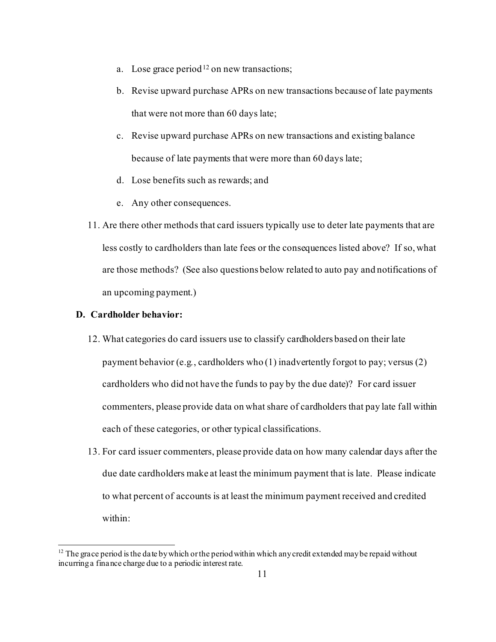- a. Lose grace period<sup>[12](#page-10-0)</sup> on new transactions;
- b. Revise upward purchase APRs on new transactions because of late payments that were not more than 60 days late;
- c. Revise upward purchase APRs on new transactions and existing balance because of late payments that were more than 60 days late;
- d. Lose benefits such as rewards; and
- e. Any other consequences.
- 11. Are there other methods that card issuers typically use to deter late payments that are less costly to cardholders than late fees or the consequences listed above? If so, what are those methods? (See also questions below related to auto pay and notifications of an upcoming payment.)

### **D. Cardholder behavior:**

- 12. What categories do card issuers use to classify cardholders based on their late payment behavior (e.g*.*, cardholders who (1) inadvertently forgot to pay; versus (2) cardholders who did not have the funds to pay by the due date)? For card issuer commenters, please provide data on what share of cardholders that pay late fall within each of these categories, or other typical classifications.
- 13. For card issuer commenters, please provide data on how many calendar days after the due date cardholders make at least the minimum payment that is late. Please indicate to what percent of accounts is at least the minimum payment received and credited within:

<span id="page-10-0"></span> $12$  The grace period is the date by which or the period within which any credit extended may be repaid without incurring a finance charge due to a periodic interest rate.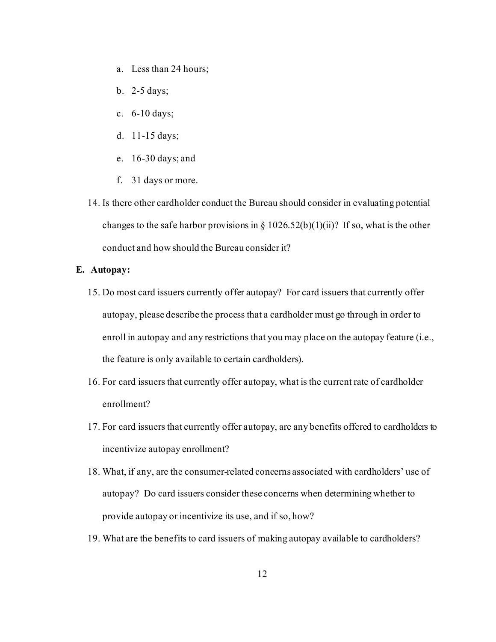- a. Less than 24 hours;
- b. 2-5 days;
- c. 6-10 days;
- d. 11-15 days;
- e. 16-30 days; and
- f. 31 days or more.
- 14. Is there other cardholder conduct the Bureau should consider in evaluating potential changes to the safe harbor provisions in § 1026.52(b)(1)(ii)? If so, what is the other conduct and how should the Bureau consider it?

### **E. Autopay:**

- 15. Do most card issuers currently offer autopay? For card issuers that currently offer autopay, please describe the process that a cardholder must go through in order to enroll in autopay and any restrictions that you may place on the autopay feature (i.e., the feature is only available to certain cardholders).
- 16. For card issuers that currently offer autopay, what is the current rate of cardholder enrollment?
- 17. For card issuers that currently offer autopay, are any benefits offered to cardholders to incentivize autopay enrollment?
- 18. What, if any, are the consumer-related concerns associated with cardholders' use of autopay? Do card issuers consider these concerns when determining whether to provide autopay or incentivize its use, and if so, how?
- 19. What are the benefits to card issuers of making autopay available to cardholders?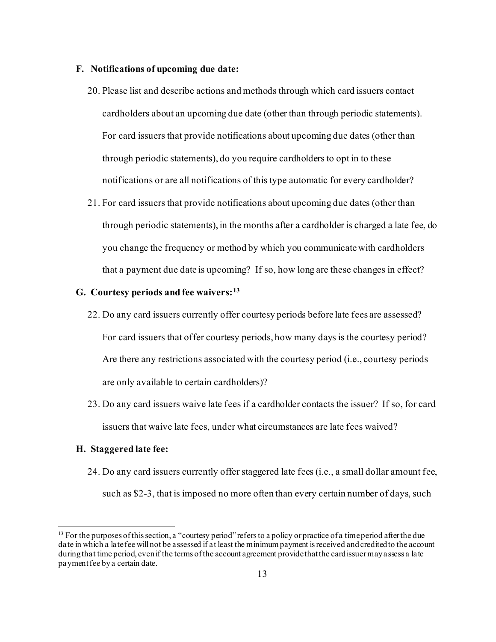### **F. Notifications of upcoming due date:**

- 20. Please list and describe actions and methods through which card issuers contact cardholders about an upcoming due date (other than through periodic statements). For card issuers that provide notifications about upcoming due dates (other than through periodic statements), do you require cardholders to opt in to these notifications or are all notifications of this type automatic for every cardholder?
- 21. For card issuers that provide notifications about upcoming due dates (other than through periodic statements), in the months after a cardholder is charged a late fee, do you change the frequency or method by which you communicate with cardholders that a payment due date is upcoming? If so, how long are these changes in effect?

# **G. Courtesy periods and fee waivers:[13](#page-12-0)**

- 22. Do any card issuers currently offer courtesy periods before late fees are assessed? For card issuers that offer courtesy periods, how many days is the courtesy period? Are there any restrictions associated with the courtesy period (i.e., courtesy periods are only available to certain cardholders)?
- 23. Do any card issuers waive late fees if a cardholder contacts the issuer? If so, for card issuers that waive late fees, under what circumstances are late fees waived?

#### **H. Staggered late fee:**

24. Do any card issuers currently offer staggered late fees (i.e., a small dollar amount fee, such as \$2-3, that is imposed no more often than every certain number of days, such

<span id="page-12-0"></span> $13$  For the purposes of this section, a "courtesy period" refers to a policy or practice of a time period after the due date in which a late fee will not be assessed if at least the minimum payment is received and credited to the account during that time period, even if the terms of the account agreement provide that the card issuermay assess a late payment fee by a certain date.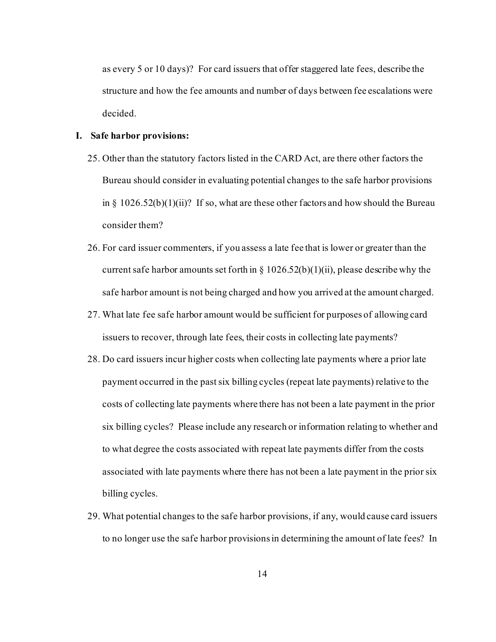as every 5 or 10 days)? For card issuers that offer staggered late fees, describe the structure and how the fee amounts and number of days between fee escalations were decided.

### **I. Safe harbor provisions:**

- 25. Other than the statutory factors listed in the CARD Act, are there other factors the Bureau should consider in evaluating potential changes to the safe harbor provisions in §  $1026.52(b)(1)(ii)$ ? If so, what are these other factors and how should the Bureau consider them?
- 26. For card issuer commenters, if you assess a late fee that is lower or greater than the current safe harbor amounts set forth in  $\S 1026.52(b)(1)(ii)$ , please describe why the safe harbor amount is not being charged and how you arrived at the amount charged.
- 27. What late fee safe harbor amount would be sufficient for purposes of allowing card issuers to recover, through late fees, their costs in collecting late payments?
- 28. Do card issuers incur higher costs when collecting late payments where a prior late payment occurred in the pastsix billing cycles (repeat late payments) relative to the costs of collecting late payments where there has not been a late payment in the prior six billing cycles? Please include any research or information relating to whether and to what degree the costs associated with repeat late payments differ from the costs associated with late payments where there has not been a late payment in the prior six billing cycles.
- 29. What potential changes to the safe harbor provisions, if any, would cause card issuers to no longer use the safe harbor provisions in determining the amount of late fees? In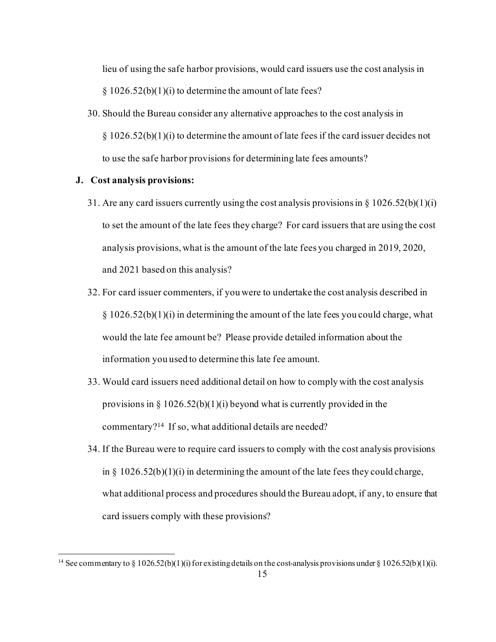lieu of using the safe harbor provisions, would card issuers use the cost analysis in  $§ 1026.52(b)(1)(i)$  to determine the amount of late fees?

30. Should the Bureau consider any alternative approaches to the cost analysis in  $\S 1026.52(b)(1)(i)$  to determine the amount of late fees if the card issuer decides not to use the safe harbor provisions for determining late fees amounts?

# **J. Cost analysis provisions:**

- 31. Are any card issuers currently using the cost analysis provisions in  $\S 1026.52(b)(1)(i)$ to set the amount of the late fees they charge? For card issuers that are using the cost analysis provisions, what is the amount of the late fees you charged in 2019, 2020, and 2021 based on this analysis?
- 32. For card issuer commenters, if you were to undertake the cost analysis described in  $\S 1026.52(b)(1)(i)$  in determining the amount of the late fees you could charge, what would the late fee amount be? Please provide detailed information about the information you used to determine this late fee amount.
- 33. Would card issuers need additional detail on how to comply with the cost analysis provisions in § 1026.52(b)(1)(i) beyond what is currently provided in the commentary[?14](#page-14-0) If so, what additional details are needed?
- 34. If the Bureau were to require card issuers to comply with the cost analysis provisions in  $\S$  1026.52(b)(1)(i) in determining the amount of the late fees they could charge, what additional process and procedures should the Bureau adopt, if any, to ensure that card issuers comply with these provisions?

<span id="page-14-0"></span><sup>15</sup> <sup>14</sup> See commentary to § 1026.52(b)(1)(i) for existing details on the cost-analysis provisions under § 1026.52(b)(1)(i).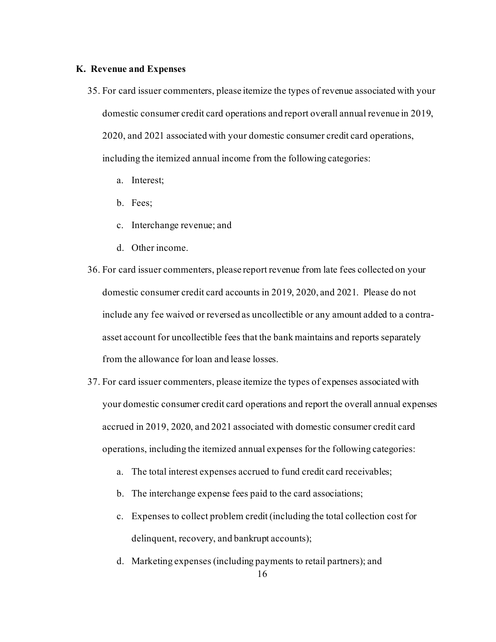#### **K. Revenue and Expenses**

- 35. For card issuer commenters, please itemize the types of revenue associated with your domestic consumer credit card operations and report overall annual revenue in 2019, 2020, and 2021 associated with your domestic consumer credit card operations, including the itemized annual income from the following categories:
	- a. Interest;
	- b. Fees;
	- c. Interchange revenue; and
	- d. Other income.
- 36. For card issuer commenters, please report revenue from late fees collected on your domestic consumer credit card accounts in 2019, 2020, and 2021. Please do not include any fee waived or reversed as uncollectible or any amount added to a contraasset account for uncollectible fees that the bank maintains and reports separately from the allowance for loan and lease losses.
- 37. For card issuer commenters, please itemize the types of expenses associated with your domestic consumer credit card operations and report the overall annual expenses accrued in 2019, 2020, and 2021 associated with domestic consumer credit card operations, including the itemized annual expenses for the following categories:
	- a. The total interest expenses accrued to fund credit card receivables;
	- b. The interchange expense fees paid to the card associations;
	- c. Expenses to collect problem credit (including the total collection cost for delinquent, recovery, and bankrupt accounts);
	- d. Marketing expenses (including payments to retail partners); and